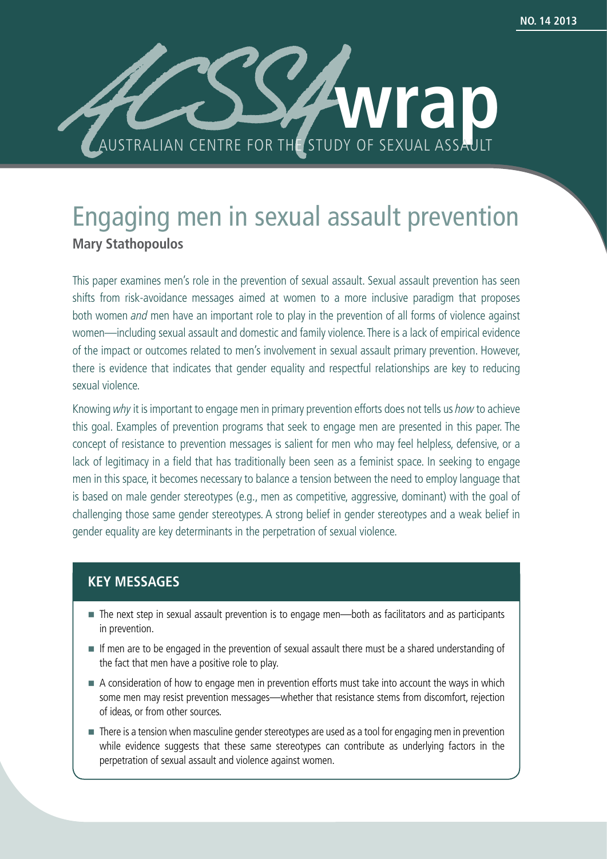

# Engaging men in sexual assault prevention **Mary Stathopoulos**

This paper examines men's role in the prevention of sexual assault. Sexual assault prevention has seen shifts from risk-avoidance messages aimed at women to a more inclusive paradigm that proposes both women *and* men have an important role to play in the prevention of all forms of violence against women—including sexual assault and domestic and family violence. There is a lack of empirical evidence of the impact or outcomes related to men's involvement in sexual assault primary prevention. However, there is evidence that indicates that gender equality and respectful relationships are key to reducing sexual violence.

Knowing why it is important to engage men in primary prevention efforts does not tells us how to achieve this goal. Examples of prevention programs that seek to engage men are presented in this paper. The concept of resistance to prevention messages is salient for men who may feel helpless, defensive, or a lack of legitimacy in a field that has traditionally been seen as a feminist space. In seeking to engage men in this space, it becomes necessary to balance a tension between the need to employ language that is based on male gender stereotypes (e.g., men as competitive, aggressive, dominant) with the goal of challenging those same gender stereotypes. A strong belief in gender stereotypes and a weak belief in gender equality are key determinants in the perpetration of sexual violence.

## **KEY MESSAGES**

- The next step in sexual assault prevention is to engage men—both as facilitators and as participants in prevention.
- If men are to be engaged in the prevention of sexual assault there must be a shared understanding of the fact that men have a positive role to play.
- A consideration of how to engage men in prevention efforts must take into account the ways in which some men may resist prevention messages—whether that resistance stems from discomfort, rejection of ideas, or from other sources.
- There is a tension when masculine gender stereotypes are used as a tool for engaging men in prevention while evidence suggests that these same stereotypes can contribute as underlying factors in the perpetration of sexual assault and violence against women.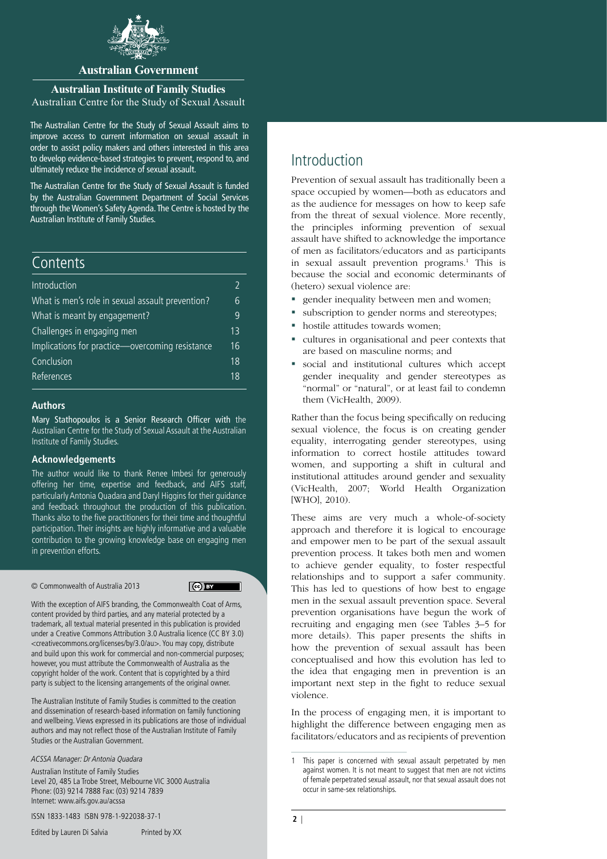

### **Australian Government**

## **Australian Institute of Family Studies**

Australian Centre for the Study of Sexual Assault

The Australian Centre for the Study of Sexual Assault aims to improve access to current information on sexual assault in order to assist policy makers and others interested in this area to develop evidence-based strategies to prevent, respond to, and ultimately reduce the incidence of sexual assault.

The Australian Centre for the Study of Sexual Assault is funded by the Australian Government Department of Social Services through the Women's Safety Agenda. The Centre is hosted by the Australian Institute of Family Studies.

### **Contents**

| Introduction                                     |    |
|--------------------------------------------------|----|
| What is men's role in sexual assault prevention? | 6  |
| What is meant by engagement?                     | q  |
| Challenges in engaging men                       | 13 |
| Implications for practice-overcoming resistance  | 16 |
| Conclusion                                       | 18 |
| References                                       | 18 |

#### **Authors**

Mary Stathopoulos is a Senior Research Officer with the Australian Centre for the Study of Sexual Assault at the Australian Institute of Family Studies.

#### **Acknowledgements**

The author would like to thank Renee Imbesi for generously offering her time, expertise and feedback, and AIFS staff, particularly Antonia Quadara and Daryl Higgins for their guidance and feedback throughout the production of this publication. Thanks also to the five practitioners for their time and thoughtful participation. Their insights are highly informative and a valuable contribution to the growing knowledge base on engaging men in prevention efforts.

© Commonwealth of Australia 2013

 $\left($ ce) BY

With the exception of AIFS branding, the Commonwealth Coat of Arms, content provided by third parties, and any material protected by a trademark, all textual material presented in this publication is provided under a Creative Commons Attribution 3.0 Australia licence (CC BY 3.0) <creativecommons.org/licenses/by/3.0/au>. You may copy, distribute and build upon this work for commercial and non-commercial purposes; however, you must attribute the Commonwealth of Australia as the copyright holder of the work. Content that is copyrighted by a third party is subject to the licensing arrangements of the original owner.

The Australian Institute of Family Studies is committed to the creation and dissemination of research-based information on family functioning and wellbeing. Views expressed in its publications are those of individual authors and may not reflect those of the Australian Institute of Family Studies or the Australian Government.

ACSSA Manager: Dr Antonia Quadara

Australian Institute of Family Studies Level 20, 485 La Trobe Street, Melbourne VIC 3000 Australia Phone: (03) 9214 7888 Fax: (03) 9214 7839 Internet: www.aifs.gov.au/acssa

**2** | Australian Institute of Family Studies ISSN 1833-1483 ISBN 978-1-922038-37-1

Introduction

Prevention of sexual assault has traditionally been a space occupied by women—both as educators and as the audience for messages on how to keep safe from the threat of sexual violence. More recently, the principles informing prevention of sexual assault have shifted to acknowledge the importance of men as facilitators/educators and as participants in sexual assault prevention programs.<sup>1</sup> This is because the social and economic determinants of (hetero) sexual violence are:

- **gender inequality between men and women;**
- subscription to gender norms and stereotypes;
- hostile attitudes towards women;
- cultures in organisational and peer contexts that are based on masculine norms; and
- social and institutional cultures which accept gender inequality and gender stereotypes as "normal" or "natural", or at least fail to condemn them (VicHealth, 2009).

Rather than the focus being specifically on reducing sexual violence, the focus is on creating gender equality, interrogating gender stereotypes, using information to correct hostile attitudes toward women, and supporting a shift in cultural and institutional attitudes around gender and sexuality (VicHealth, 2007; World Health Organization [WHO], 2010).

These aims are very much a whole-of-society approach and therefore it is logical to encourage and empower men to be part of the sexual assault prevention process. It takes both men and women to achieve gender equality, to foster respectful relationships and to support a safer community. This has led to questions of how best to engage men in the sexual assault prevention space. Several prevention organisations have begun the work of recruiting and engaging men (see Tables 3–5 for more details). This paper presents the shifts in how the prevention of sexual assault has been conceptualised and how this evolution has led to the idea that engaging men in prevention is an important next step in the fight to reduce sexual violence.

In the process of engaging men, it is important to highlight the difference between engaging men as facilitators/educators and as recipients of prevention

<sup>1</sup> This paper is concerned with sexual assault perpetrated by men against women. It is not meant to suggest that men are not victims of female perpetrated sexual assault, nor that sexual assault does not occur in same-sex relationships.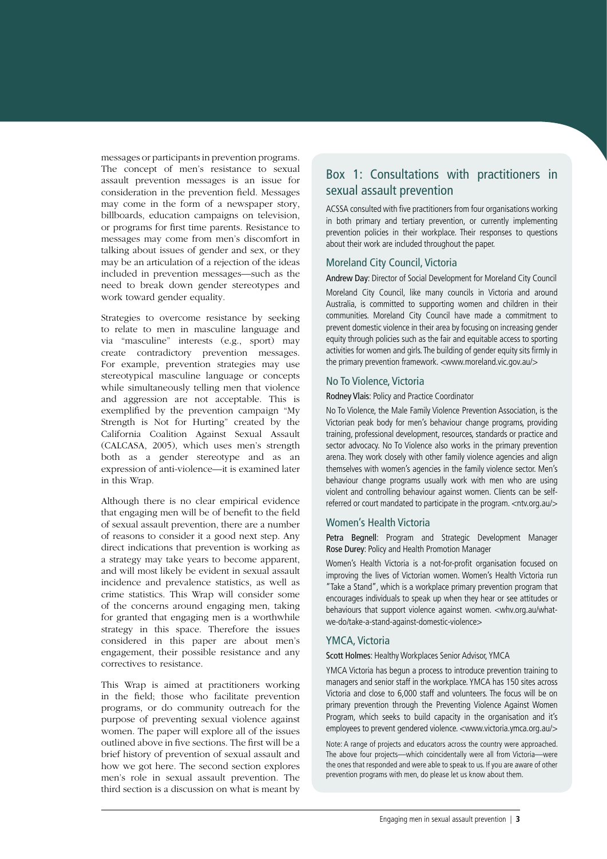messages or participants in prevention programs. The concept of men's resistance to sexual assault prevention messages is an issue for consideration in the prevention field. Messages may come in the form of a newspaper story, billboards, education campaigns on television, or programs for first time parents. Resistance to messages may come from men's discomfort in talking about issues of gender and sex, or they may be an articulation of a rejection of the ideas included in prevention messages—such as the need to break down gender stereotypes and work toward gender equality.

Strategies to overcome resistance by seeking to relate to men in masculine language and via "masculine" interests (e.g., sport) may create contradictory prevention messages. For example, prevention strategies may use stereotypical masculine language or concepts while simultaneously telling men that violence and aggression are not acceptable. This is exemplified by the prevention campaign "My Strength is Not for Hurting" created by the California Coalition Against Sexual Assault (CALCASA, 2005), which uses men's strength both as a gender stereotype and as an expression of anti-violence—it is examined later in this Wrap.

Although there is no clear empirical evidence that engaging men will be of benefit to the field of sexual assault prevention, there are a number of reasons to consider it a good next step. Any direct indications that prevention is working as a strategy may take years to become apparent, and will most likely be evident in sexual assault incidence and prevalence statistics, as well as crime statistics. This Wrap will consider some of the concerns around engaging men, taking for granted that engaging men is a worthwhile strategy in this space. Therefore the issues considered in this paper are about men's engagement, their possible resistance and any correctives to resistance.

This Wrap is aimed at practitioners working in the field; those who facilitate prevention programs, or do community outreach for the purpose of preventing sexual violence against women. The paper will explore all of the issues outlined above in five sections. The first will be a brief history of prevention of sexual assault and how we got here. The second section explores men's role in sexual assault prevention. The third section is a discussion on what is meant by

## Box 1: Consultations with practitioners in sexual assault prevention

ACSSA consulted with five practitioners from four organisations working in both primary and tertiary prevention, or currently implementing prevention policies in their workplace. Their responses to questions about their work are included throughout the paper.

#### Moreland City Council, Victoria

Andrew Day: Director of Social Development for Moreland City Council

Moreland City Council, like many councils in Victoria and around Australia, is committed to supporting women and children in their communities. Moreland City Council have made a commitment to prevent domestic violence in their area by focusing on increasing gender equity through policies such as the fair and equitable access to sporting activities for women and girls. The building of gender equity sits firmly in the primary prevention framework. <www.moreland.vic.gov.au/>

#### No To Violence, Victoria

#### Rodney Vlais: Policy and Practice Coordinator

No To Violence, the Male Family Violence Prevention Association, is the Victorian peak body for men's behaviour change programs, providing training, professional development, resources, standards or practice and sector advocacy. No To Violence also works in the primary prevention arena. They work closely with other family violence agencies and align themselves with women's agencies in the family violence sector. Men's behaviour change programs usually work with men who are using violent and controlling behaviour against women. Clients can be selfreferred or court mandated to participate in the program. <ntv.org.au/>

#### Women's Health Victoria

Petra Begnell: Program and Strategic Development Manager Rose Durey: Policy and Health Promotion Manager

Women's Health Victoria is a not-for-profit organisation focused on improving the lives of Victorian women. Women's Health Victoria run "Take a Stand", which is a workplace primary prevention program that encourages individuals to speak up when they hear or see attitudes or behaviours that support violence against women. <whv.org.au/whatwe-do/take-a-stand-against-domestic-violence>

### YMCA, Victoria

Scott Holmes: Healthy Workplaces Senior Advisor, YMCA

YMCA Victoria has begun a process to introduce prevention training to managers and senior staff in the workplace. YMCA has 150 sites across Victoria and close to 6,000 staff and volunteers. The focus will be on primary prevention through the Preventing Violence Against Women Program, which seeks to build capacity in the organisation and it's employees to prevent gendered violence. <www.victoria.ymca.org.au/>

Note: A range of projects and educators across the country were approached. The above four projects—which coincidentally were all from Victoria—were the ones that responded and were able to speak to us. If you are aware of other prevention programs with men, do please let us know about them.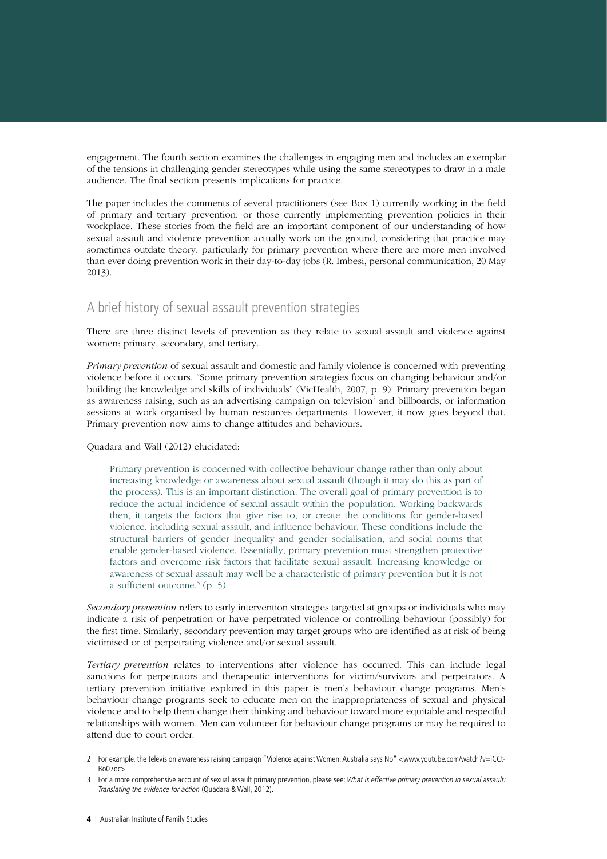engagement. The fourth section examines the challenges in engaging men and includes an exemplar of the tensions in challenging gender stereotypes while using the same stereotypes to draw in a male audience. The final section presents implications for practice.

The paper includes the comments of several practitioners (see Box 1) currently working in the field of primary and tertiary prevention, or those currently implementing prevention policies in their workplace. These stories from the field are an important component of our understanding of how sexual assault and violence prevention actually work on the ground, considering that practice may sometimes outdate theory, particularly for primary prevention where there are more men involved than ever doing prevention work in their day-to-day jobs (R. Imbesi, personal communication, 20 May 2013).

## A brief history of sexual assault prevention strategies

There are three distinct levels of prevention as they relate to sexual assault and violence against women: primary, secondary, and tertiary.

*Primary prevention* of sexual assault and domestic and family violence is concerned with preventing violence before it occurs. "Some primary prevention strategies focus on changing behaviour and/or building the knowledge and skills of individuals" (VicHealth, 2007, p. 9). Primary prevention began as awareness raising, such as an advertising campaign on television<sup>2</sup> and billboards, or information sessions at work organised by human resources departments. However, it now goes beyond that. Primary prevention now aims to change attitudes and behaviours.

Quadara and Wall (2012) elucidated:

Primary prevention is concerned with collective behaviour change rather than only about increasing knowledge or awareness about sexual assault (though it may do this as part of the process). This is an important distinction. The overall goal of primary prevention is to reduce the actual incidence of sexual assault within the population. Working backwards then, it targets the factors that give rise to, or create the conditions for gender-based violence, including sexual assault, and influence behaviour. These conditions include the structural barriers of gender inequality and gender socialisation, and social norms that enable gender-based violence. Essentially, primary prevention must strengthen protective factors and overcome risk factors that facilitate sexual assault. Increasing knowledge or awareness of sexual assault may well be a characteristic of primary prevention but it is not a sufficient outcome.3 (p. 5)

*Secondary prevention* refers to early intervention strategies targeted at groups or individuals who may indicate a risk of perpetration or have perpetrated violence or controlling behaviour (possibly) for the first time. Similarly, secondary prevention may target groups who are identified as at risk of being victimised or of perpetrating violence and/or sexual assault.

*Tertiary prevention* relates to interventions after violence has occurred. This can include legal sanctions for perpetrators and therapeutic interventions for victim/survivors and perpetrators. A tertiary prevention initiative explored in this paper is men's behaviour change programs. Men's behaviour change programs seek to educate men on the inappropriateness of sexual and physical violence and to help them change their thinking and behaviour toward more equitable and respectful relationships with women. Men can volunteer for behaviour change programs or may be required to attend due to court order.

<sup>2</sup> For example, the television awareness raising campaign ["Violence against Women. Australia says No"](http://www.youtube.com/watch?v=iCCt-Bo07oc) <www.youtube.com/watch?v=iCCt-Bo07oc>

<sup>3</sup> For a more comprehensive account of sexual assault primary prevention, please see: What is effective primary prevention in sexual assault: Translating the evidence for action (Quadara & Wall, 2012).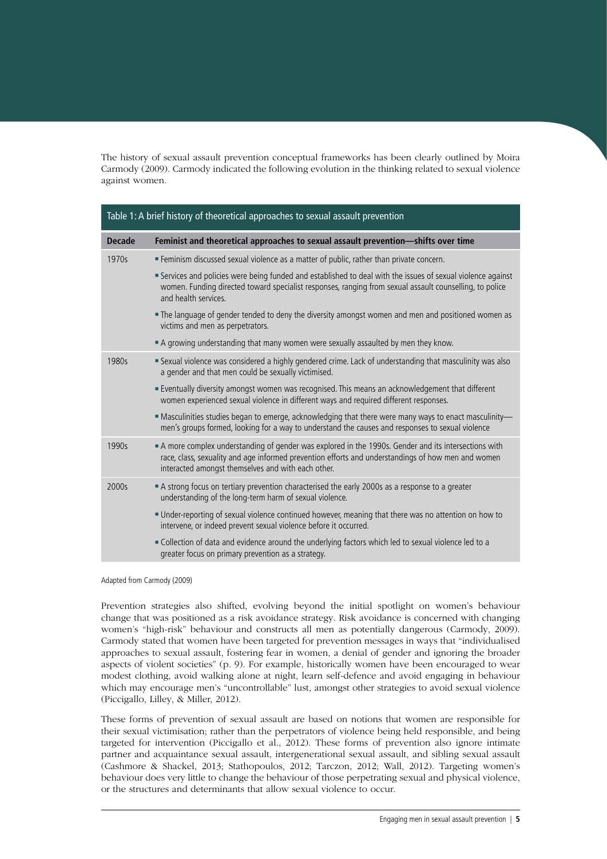The history of sexual assault prevention conceptual frameworks has been clearly outlined by Moira Carmody (2009). Carmody indicated the following evolution in the thinking related to sexual violence against women.

| Table 1: A brief history of theoretical approaches to sexual assault prevention |                                                                                                                                                                                                                                                                 |  |
|---------------------------------------------------------------------------------|-----------------------------------------------------------------------------------------------------------------------------------------------------------------------------------------------------------------------------------------------------------------|--|
| <b>Decade</b>                                                                   | Feminist and theoretical approaches to sexual assault prevention-shifts over time                                                                                                                                                                               |  |
| 1970s                                                                           | ■ Feminism discussed sexual violence as a matter of public, rather than private concern.                                                                                                                                                                        |  |
|                                                                                 | Services and policies were being funded and established to deal with the issues of sexual violence against<br>women. Funding directed toward specialist responses, ranging from sexual assault counselling, to police<br>and health services.                   |  |
|                                                                                 | The language of gender tended to deny the diversity amongst women and men and positioned women as<br>victims and men as perpetrators.                                                                                                                           |  |
|                                                                                 | A growing understanding that many women were sexually assaulted by men they know.                                                                                                                                                                               |  |
| 1980s                                                                           | Sexual violence was considered a highly gendered crime. Lack of understanding that masculinity was also<br>a gender and that men could be sexually victimised.                                                                                                  |  |
|                                                                                 | Eventually diversity amongst women was recognised. This means an acknowledgement that different<br>women experienced sexual violence in different ways and required different responses.                                                                        |  |
|                                                                                 | - Masculinities studies began to emerge, acknowledging that there were many ways to enact masculinity-<br>men's groups formed, looking for a way to understand the causes and responses to sexual violence                                                      |  |
| 1990s                                                                           | A more complex understanding of gender was explored in the 1990s. Gender and its intersections with<br>race, class, sexuality and age informed prevention efforts and understandings of how men and women<br>interacted amongst themselves and with each other. |  |
| 2000s                                                                           | A strong focus on tertiary prevention characterised the early 2000s as a response to a greater<br>understanding of the long-term harm of sexual violence.                                                                                                       |  |
|                                                                                 | - Under-reporting of sexual violence continued however, meaning that there was no attention on how to<br>intervene, or indeed prevent sexual violence before it occurred.                                                                                       |  |
|                                                                                 | Ollection of data and evidence around the underlying factors which led to sexual violence led to a<br>greater focus on primary prevention as a strategy.                                                                                                        |  |

Adapted from Carmody (2009)

Prevention strategies also shifted, evolving beyond the initial spotlight on women's behaviour change that was positioned as a risk avoidance strategy. Risk avoidance is concerned with changing women's "high-risk" behaviour and constructs all men as potentially dangerous (Carmody, 2009). Carmody stated that women have been targeted for prevention messages in ways that "individualised approaches to sexual assault, fostering fear in women, a denial of gender and ignoring the broader aspects of violent societies" (p. 9). For example, historically women have been encouraged to wear modest clothing, avoid walking alone at night, learn self-defence and avoid engaging in behaviour which may encourage men's "uncontrollable" lust, amongst other strategies to avoid sexual violence (Piccigallo, Lilley, & Miller, 2012).

These forms of prevention of sexual assault are based on notions that women are responsible for their sexual victimisation; rather than the perpetrators of violence being held responsible, and being targeted for intervention (Piccigallo et al., 2012). These forms of prevention also ignore intimate partner and acquaintance sexual assault, intergenerational sexual assault, and sibling sexual assault (Cashmore & Shackel, 2013; Stathopoulos, 2012; Tarczon, 2012; Wall, 2012). Targeting women's behaviour does very little to change the behaviour of those perpetrating sexual and physical violence, or the structures and determinants that allow sexual violence to occur.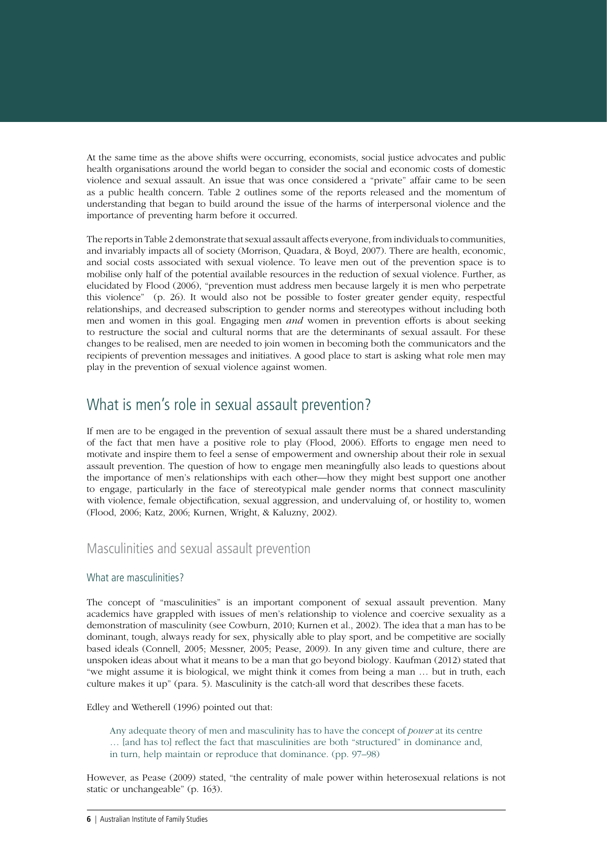<span id="page-5-0"></span>At the same time as the above shifts were occurring, economists, social justice advocates and public health organisations around the world began to consider the social and economic costs of domestic violence and sexual assault. An issue that was once considered a "private" affair came to be seen as a public health concern. Table 2 outlines some of the reports released and the momentum of understanding that began to build around the issue of the harms of interpersonal violence and the importance of preventing harm before it occurred.

The reports in Table 2 demonstrate that sexual assault affects everyone, from individuals to communities, and invariably impacts all of society (Morrison, Quadara, & Boyd, 2007). There are health, economic, and social costs associated with sexual violence. To leave men out of the prevention space is to mobilise only half of the potential available resources in the reduction of sexual violence. Further, as elucidated by Flood (2006), "prevention must address men because largely it is men who perpetrate this violence" (p. 26). It would also not be possible to foster greater gender equity, respectful relationships, and decreased subscription to gender norms and stereotypes without including both men and women in this goal. Engaging men *and* women in prevention efforts is about seeking to restructure the social and cultural norms that are the determinants of sexual assault. For these changes to be realised, men are needed to join women in becoming both the communicators and the recipients of prevention messages and initiatives. A good place to start is asking what role men may play in the prevention of sexual violence against women.

## What is men's role in sexual assault prevention?

If men are to be engaged in the prevention of sexual assault there must be a shared understanding of the fact that men have a positive role to play (Flood, 2006). Efforts to engage men need to motivate and inspire them to feel a sense of empowerment and ownership about their role in sexual assault prevention. The question of how to engage men meaningfully also leads to questions about the importance of men's relationships with each other—how they might best support one another to engage, particularly in the face of stereotypical male gender norms that connect masculinity with violence, female objectification, sexual aggression, and undervaluing of, or hostility to, women (Flood, 2006; Katz, 2006; Kurnen, Wright, & Kaluzny, 2002).

### Masculinities and sexual assault prevention

#### What are masculinities?

The concept of "masculinities" is an important component of sexual assault prevention. Many academics have grappled with issues of men's relationship to violence and coercive sexuality as a demonstration of masculinity (see Cowburn, 2010; Kurnen et al., 2002). The idea that a man has to be dominant, tough, always ready for sex, physically able to play sport, and be competitive are socially based ideals (Connell, 2005; Messner, 2005; Pease, 2009). In any given time and culture, there are unspoken ideas about what it means to be a man that go beyond biology. Kaufman (2012) stated that "we might assume it is biological, we might think it comes from being a man … but in truth, each culture makes it up" (para. 5). Masculinity is the catch-all word that describes these facets.

Edley and Wetherell (1996) pointed out that:

Any adequate theory of men and masculinity has to have the concept of *power* at its centre

- … [and has to] reflect the fact that masculinities are both "structured" in dominance and,
- in turn, help maintain or reproduce that dominance. (pp. 97–98)

However, as Pease (2009) stated, "the centrality of male power within heterosexual relations is not static or unchangeable" (p. 163).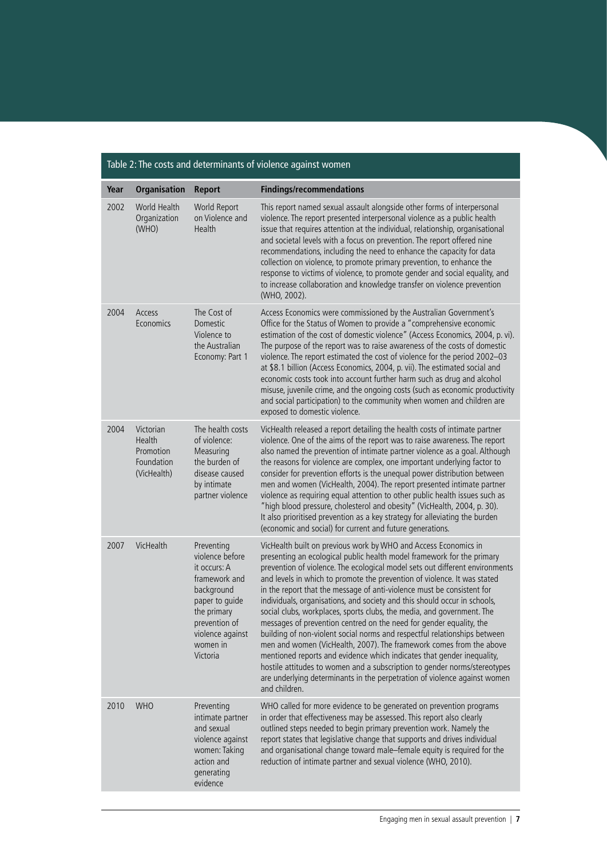| rable 2. The costs and determinants or violence against women |                                                               |                                                                                                                                                                            |                                                                                                                                                                                                                                                                                                                                                                                                                                                                                                                                                                                                                                                                                                                                                                                                                                                                                                                                                                                                                        |
|---------------------------------------------------------------|---------------------------------------------------------------|----------------------------------------------------------------------------------------------------------------------------------------------------------------------------|------------------------------------------------------------------------------------------------------------------------------------------------------------------------------------------------------------------------------------------------------------------------------------------------------------------------------------------------------------------------------------------------------------------------------------------------------------------------------------------------------------------------------------------------------------------------------------------------------------------------------------------------------------------------------------------------------------------------------------------------------------------------------------------------------------------------------------------------------------------------------------------------------------------------------------------------------------------------------------------------------------------------|
| Year                                                          | <b>Organisation</b>                                           | <b>Report</b>                                                                                                                                                              | <b>Findings/recommendations</b>                                                                                                                                                                                                                                                                                                                                                                                                                                                                                                                                                                                                                                                                                                                                                                                                                                                                                                                                                                                        |
| 2002                                                          | World Health<br>Organization<br>(WHO)                         | World Report<br>on Violence and<br>Health                                                                                                                                  | This report named sexual assault alongside other forms of interpersonal<br>violence. The report presented interpersonal violence as a public health<br>issue that requires attention at the individual, relationship, organisational<br>and societal levels with a focus on prevention. The report offered nine<br>recommendations, including the need to enhance the capacity for data<br>collection on violence, to promote primary prevention, to enhance the<br>response to victims of violence, to promote gender and social equality, and<br>to increase collaboration and knowledge transfer on violence prevention<br>(WHO, 2002).                                                                                                                                                                                                                                                                                                                                                                             |
| 2004                                                          | Access<br>Economics                                           | The Cost of<br>Domestic<br>Violence to<br>the Australian<br>Economy: Part 1                                                                                                | Access Economics were commissioned by the Australian Government's<br>Office for the Status of Women to provide a "comprehensive economic<br>estimation of the cost of domestic violence" (Access Economics, 2004, p. vi).<br>The purpose of the report was to raise awareness of the costs of domestic<br>violence. The report estimated the cost of violence for the period 2002-03<br>at \$8.1 billion (Access Economics, 2004, p. vii). The estimated social and<br>economic costs took into account further harm such as drug and alcohol<br>misuse, juvenile crime, and the ongoing costs (such as economic productivity<br>and social participation) to the community when women and children are<br>exposed to domestic violence.                                                                                                                                                                                                                                                                               |
| 2004                                                          | Victorian<br>Health<br>Promotion<br>Foundation<br>(VicHealth) | The health costs<br>of violence:<br>Measuring<br>the burden of<br>disease caused<br>by intimate<br>partner violence                                                        | VicHealth released a report detailing the health costs of intimate partner<br>violence. One of the aims of the report was to raise awareness. The report<br>also named the prevention of intimate partner violence as a goal. Although<br>the reasons for violence are complex, one important underlying factor to<br>consider for prevention efforts is the unequal power distribution between<br>men and women (VicHealth, 2004). The report presented intimate partner<br>violence as requiring equal attention to other public health issues such as<br>"high blood pressure, cholesterol and obesity" (VicHealth, 2004, p. 30).<br>It also prioritised prevention as a key strategy for alleviating the burden<br>(economic and social) for current and future generations.                                                                                                                                                                                                                                       |
| 2007                                                          | VicHealth                                                     | Preventing<br>violence before<br>it occurs: A<br>framework and<br>background<br>paper to quide<br>the primary<br>prevention of<br>violence against<br>women in<br>Victoria | VicHealth built on previous work by WHO and Access Economics in<br>presenting an ecological public health model framework for the primary<br>prevention of violence. The ecological model sets out different environments<br>and levels in which to promote the prevention of violence. It was stated<br>in the report that the message of anti-violence must be consistent for<br>individuals, organisations, and society and this should occur in schools,<br>social clubs, workplaces, sports clubs, the media, and government. The<br>messages of prevention centred on the need for gender equality, the<br>building of non-violent social norms and respectful relationships between<br>men and women (VicHealth, 2007). The framework comes from the above<br>mentioned reports and evidence which indicates that gender inequality,<br>hostile attitudes to women and a subscription to gender norms/stereotypes<br>are underlying determinants in the perpetration of violence against women<br>and children. |
| 2010                                                          | <b>WHO</b>                                                    | Preventing<br>intimate partner<br>and sexual<br>violence against<br>women: Taking<br>action and<br>generating<br>evidence                                                  | WHO called for more evidence to be generated on prevention programs<br>in order that effectiveness may be assessed. This report also clearly<br>outlined steps needed to begin primary prevention work. Namely the<br>report states that legislative change that supports and drives individual<br>and organisational change toward male-female equity is required for the<br>reduction of intimate partner and sexual violence (WHO, 2010).                                                                                                                                                                                                                                                                                                                                                                                                                                                                                                                                                                           |

#### Table 2: The costs and determinants of violence against women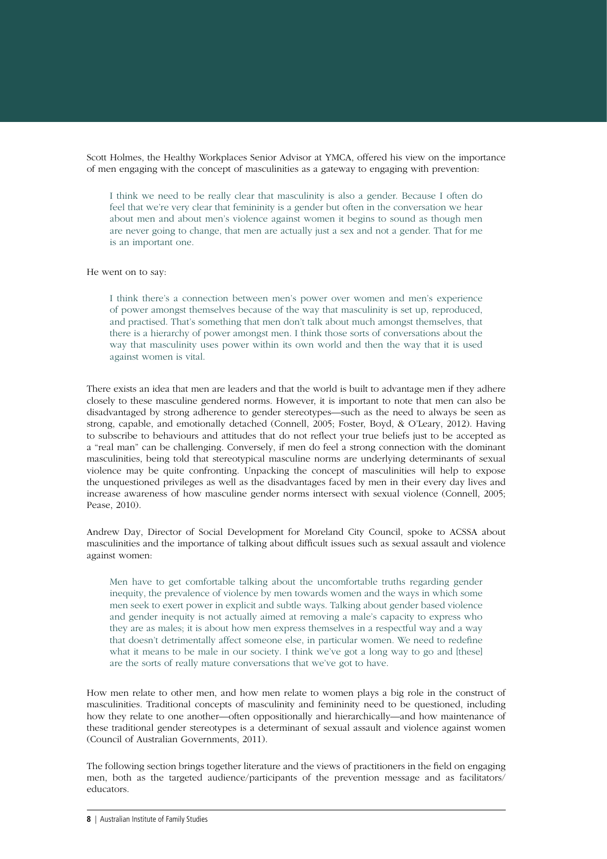Scott Holmes, the Healthy Workplaces Senior Advisor at YMCA, offered his view on the importance of men engaging with the concept of masculinities as a gateway to engaging with prevention:

I think we need to be really clear that masculinity is also a gender. Because I often do feel that we're very clear that femininity is a gender but often in the conversation we hear about men and about men's violence against women it begins to sound as though men are never going to change, that men are actually just a sex and not a gender. That for me is an important one.

#### He went on to say:

I think there's a connection between men's power over women and men's experience of power amongst themselves because of the way that masculinity is set up, reproduced, and practised. That's something that men don't talk about much amongst themselves, that there is a hierarchy of power amongst men. I think those sorts of conversations about the way that masculinity uses power within its own world and then the way that it is used against women is vital.

There exists an idea that men are leaders and that the world is built to advantage men if they adhere closely to these masculine gendered norms. However, it is important to note that men can also be disadvantaged by strong adherence to gender stereotypes—such as the need to always be seen as strong, capable, and emotionally detached (Connell, 2005; Foster, Boyd, & O'Leary, 2012). Having to subscribe to behaviours and attitudes that do not reflect your true beliefs just to be accepted as a "real man" can be challenging. Conversely, if men do feel a strong connection with the dominant masculinities, being told that stereotypical masculine norms are underlying determinants of sexual violence may be quite confronting. Unpacking the concept of masculinities will help to expose the unquestioned privileges as well as the disadvantages faced by men in their every day lives and increase awareness of how masculine gender norms intersect with sexual violence (Connell, 2005; Pease, 2010).

Andrew Day, Director of Social Development for Moreland City Council, spoke to ACSSA about masculinities and the importance of talking about difficult issues such as sexual assault and violence against women:

Men have to get comfortable talking about the uncomfortable truths regarding gender inequity, the prevalence of violence by men towards women and the ways in which some men seek to exert power in explicit and subtle ways. Talking about gender based violence and gender inequity is not actually aimed at removing a male's capacity to express who they are as males; it is about how men express themselves in a respectful way and a way that doesn't detrimentally affect someone else, in particular women. We need to redefine what it means to be male in our society. I think we've got a long way to go and [these] are the sorts of really mature conversations that we've got to have.

How men relate to other men, and how men relate to women plays a big role in the construct of masculinities. Traditional concepts of masculinity and femininity need to be questioned, including how they relate to one another—often oppositionally and hierarchically—and how maintenance of these traditional gender stereotypes is a determinant of sexual assault and violence against women (Council of Australian Governments, 2011).

The following section brings together literature and the views of practitioners in the field on engaging men, both as the targeted audience/participants of the prevention message and as facilitators/ educators.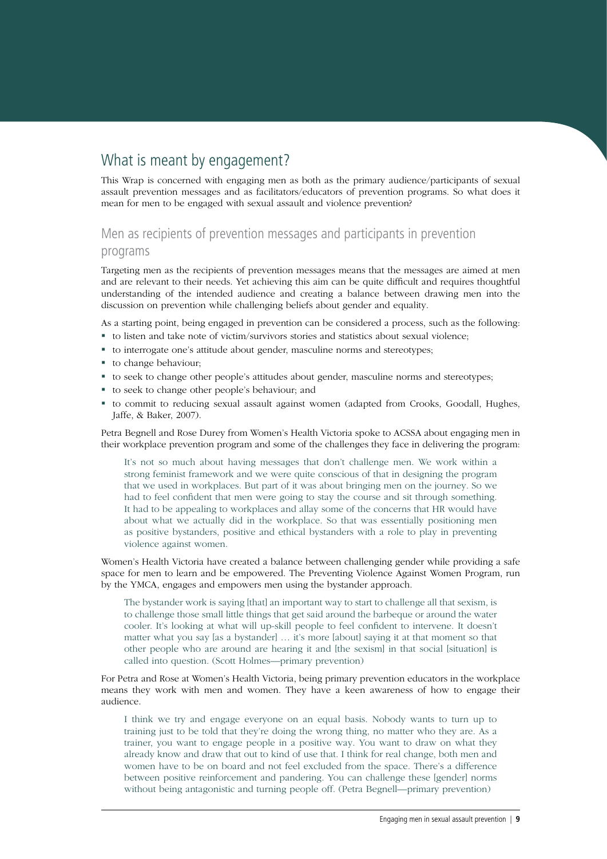## <span id="page-8-0"></span>What is meant by engagement?

This Wrap is concerned with engaging men as both as the primary audience/participants of sexual assault prevention messages and as facilitators/educators of prevention programs. So what does it mean for men to be engaged with sexual assault and violence prevention?

## Men as recipients of prevention messages and participants in prevention

#### programs

Targeting men as the recipients of prevention messages means that the messages are aimed at men and are relevant to their needs. Yet achieving this aim can be quite difficult and requires thoughtful understanding of the intended audience and creating a balance between drawing men into the discussion on prevention while challenging beliefs about gender and equality.

As a starting point, being engaged in prevention can be considered a process, such as the following:

- to listen and take note of victim/survivors stories and statistics about sexual violence;
- to interrogate one's attitude about gender, masculine norms and stereotypes;
- to change behaviour;
- to seek to change other people's attitudes about gender, masculine norms and stereotypes;
- to seek to change other people's behaviour; and
- to commit to reducing sexual assault against women (adapted from Crooks, Goodall, Hughes, Jaffe, & Baker, 2007).

Petra Begnell and Rose Durey from Women's Health Victoria spoke to ACSSA about engaging men in their workplace prevention program and some of the challenges they face in delivering the program:

It's not so much about having messages that don't challenge men. We work within a strong feminist framework and we were quite conscious of that in designing the program that we used in workplaces. But part of it was about bringing men on the journey. So we had to feel confident that men were going to stay the course and sit through something. It had to be appealing to workplaces and allay some of the concerns that HR would have about what we actually did in the workplace. So that was essentially positioning men as positive bystanders, positive and ethical bystanders with a role to play in preventing violence against women.

Women's Health Victoria have created a balance between challenging gender while providing a safe space for men to learn and be empowered. The Preventing Violence Against Women Program, run by the YMCA, engages and empowers men using the bystander approach.

The bystander work is saying [that] an important way to start to challenge all that sexism, is to challenge those small little things that get said around the barbeque or around the water cooler. It's looking at what will up-skill people to feel confident to intervene. It doesn't matter what you say [as a bystander] … it's more [about] saying it at that moment so that other people who are around are hearing it and [the sexism] in that social [situation] is called into question. (Scott Holmes—primary prevention)

For Petra and Rose at Women's Health Victoria, being primary prevention educators in the workplace means they work with men and women. They have a keen awareness of how to engage their audience.

I think we try and engage everyone on an equal basis. Nobody wants to turn up to training just to be told that they're doing the wrong thing, no matter who they are. As a trainer, you want to engage people in a positive way. You want to draw on what they already know and draw that out to kind of use that. I think for real change, both men and women have to be on board and not feel excluded from the space. There's a difference between positive reinforcement and pandering. You can challenge these [gender] norms without being antagonistic and turning people off. (Petra Begnell—primary prevention)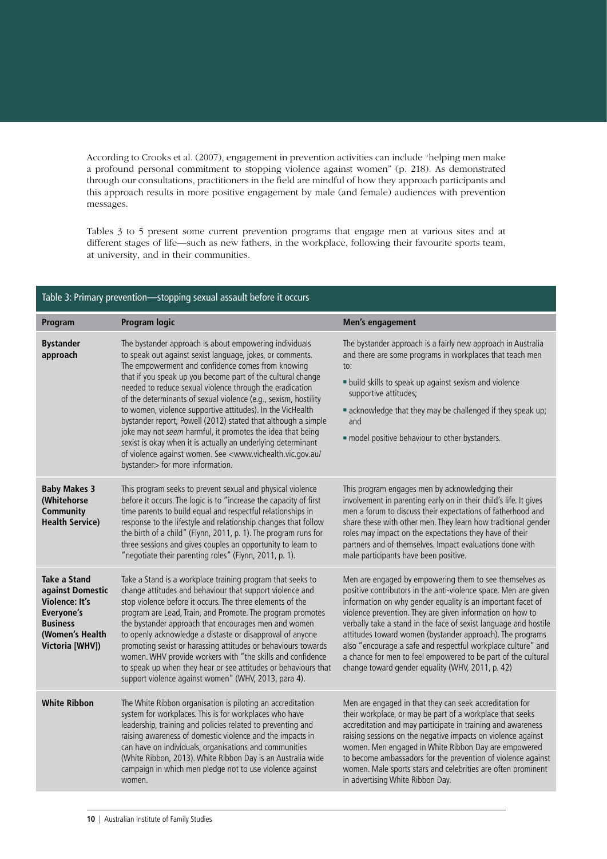According to Crooks et al. (2007), engagement in prevention activities can include "helping men make a profound personal commitment to stopping violence against women" (p. 218). As demonstrated through our consultations, practitioners in the field are mindful of how they approach participants and this approach results in more positive engagement by male (and female) audiences with prevention messages.

Tables 3 to 5 present some current prevention programs that engage men at various sites and at different stages of life—such as new fathers, in the workplace, following their favourite sports team, at university, and in their communities.

| Table 3: Primary prevention-stopping sexual assault before it occurs                                                                    |                                                                                                                                                                                                                                                                                                                                                                                                                                                                                                                                                                                                                                                                                                                                                                       |                                                                                                                                                                                                                                                                                                                                                                                                                                                                                                                                                                              |  |
|-----------------------------------------------------------------------------------------------------------------------------------------|-----------------------------------------------------------------------------------------------------------------------------------------------------------------------------------------------------------------------------------------------------------------------------------------------------------------------------------------------------------------------------------------------------------------------------------------------------------------------------------------------------------------------------------------------------------------------------------------------------------------------------------------------------------------------------------------------------------------------------------------------------------------------|------------------------------------------------------------------------------------------------------------------------------------------------------------------------------------------------------------------------------------------------------------------------------------------------------------------------------------------------------------------------------------------------------------------------------------------------------------------------------------------------------------------------------------------------------------------------------|--|
| Program                                                                                                                                 | <b>Program logic</b>                                                                                                                                                                                                                                                                                                                                                                                                                                                                                                                                                                                                                                                                                                                                                  | Men's engagement                                                                                                                                                                                                                                                                                                                                                                                                                                                                                                                                                             |  |
| <b>Bystander</b><br>approach                                                                                                            | The bystander approach is about empowering individuals<br>to speak out against sexist language, jokes, or comments.<br>The empowerment and confidence comes from knowing<br>that if you speak up you become part of the cultural change<br>needed to reduce sexual violence through the eradication<br>of the determinants of sexual violence (e.g., sexism, hostility<br>to women, violence supportive attitudes). In the VicHealth<br>bystander report, Powell (2012) stated that although a simple<br>joke may not seem harmful, it promotes the idea that being<br>sexist is okay when it is actually an underlying determinant<br>of violence against women. See <www.vichealth.vic.gov.au <br="">bystander&gt; for more information.</www.vichealth.vic.gov.au> | The bystander approach is a fairly new approach in Australia<br>and there are some programs in workplaces that teach men<br>to:<br>· build skills to speak up against sexism and violence<br>supportive attitudes;<br>" acknowledge that they may be challenged if they speak up;<br>and<br>· model positive behaviour to other bystanders.                                                                                                                                                                                                                                  |  |
| <b>Baby Makes 3</b><br>(Whitehorse<br>Community<br><b>Health Service)</b>                                                               | This program seeks to prevent sexual and physical violence<br>before it occurs. The logic is to "increase the capacity of first<br>time parents to build equal and respectful relationships in<br>response to the lifestyle and relationship changes that follow<br>the birth of a child" (Flynn, 2011, p. 1). The program runs for<br>three sessions and gives couples an opportunity to learn to<br>"negotiate their parenting roles" (Flynn, 2011, p. 1).                                                                                                                                                                                                                                                                                                          | This program engages men by acknowledging their<br>involvement in parenting early on in their child's life. It gives<br>men a forum to discuss their expectations of fatherhood and<br>share these with other men. They learn how traditional gender<br>roles may impact on the expectations they have of their<br>partners and of themselves. Impact evaluations done with<br>male participants have been positive.                                                                                                                                                         |  |
| <b>Take a Stand</b><br>against Domestic<br><b>Violence: It's</b><br>Everyone's<br><b>Business</b><br>(Women's Health<br>Victoria [WHV]) | Take a Stand is a workplace training program that seeks to<br>change attitudes and behaviour that support violence and<br>stop violence before it occurs. The three elements of the<br>program are Lead, Train, and Promote. The program promotes<br>the bystander approach that encourages men and women<br>to openly acknowledge a distaste or disapproval of anyone<br>promoting sexist or harassing attitudes or behaviours towards<br>women. WHV provide workers with "the skills and confidence<br>to speak up when they hear or see attitudes or behaviours that<br>support violence against women" (WHV, 2013, para 4).                                                                                                                                       | Men are engaged by empowering them to see themselves as<br>positive contributors in the anti-violence space. Men are given<br>information on why gender equality is an important facet of<br>violence prevention. They are given information on how to<br>verbally take a stand in the face of sexist language and hostile<br>attitudes toward women (bystander approach). The programs<br>also "encourage a safe and respectful workplace culture" and<br>a chance for men to feel empowered to be part of the cultural<br>change toward gender equality (WHV, 2011, p. 42) |  |
| <b>White Ribbon</b>                                                                                                                     | The White Ribbon organisation is piloting an accreditation<br>system for workplaces. This is for workplaces who have<br>leadership, training and policies related to preventing and<br>raising awareness of domestic violence and the impacts in<br>can have on individuals, organisations and communities<br>(White Ribbon, 2013). White Ribbon Day is an Australia wide<br>campaign in which men pledge not to use violence against<br>women.                                                                                                                                                                                                                                                                                                                       | Men are engaged in that they can seek accreditation for<br>their workplace, or may be part of a workplace that seeks<br>accreditation and may participate in training and awareness<br>raising sessions on the negative impacts on violence against<br>women. Men engaged in White Ribbon Day are empowered<br>to become ambassadors for the prevention of violence against<br>women. Male sports stars and celebrities are often prominent<br>in advertising White Ribbon Day.                                                                                              |  |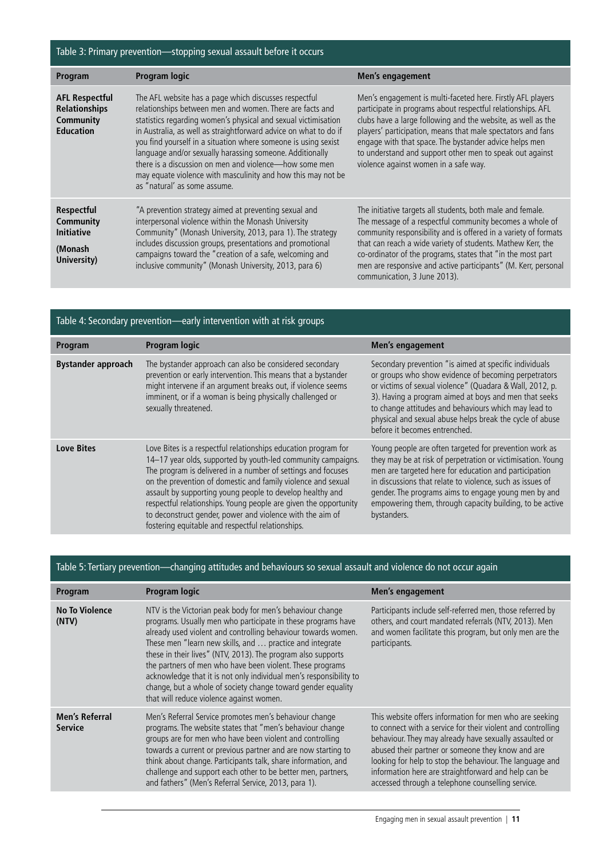## Table 3: Primary prevention—stopping sexual assault before it occurs

| Program                                                                        | <b>Program logic</b>                                                                                                                                                                                                                                                                                                                                                                                                                                                                                                                            | Men's engagement                                                                                                                                                                                                                                                                                                                                                                                                          |
|--------------------------------------------------------------------------------|-------------------------------------------------------------------------------------------------------------------------------------------------------------------------------------------------------------------------------------------------------------------------------------------------------------------------------------------------------------------------------------------------------------------------------------------------------------------------------------------------------------------------------------------------|---------------------------------------------------------------------------------------------------------------------------------------------------------------------------------------------------------------------------------------------------------------------------------------------------------------------------------------------------------------------------------------------------------------------------|
| <b>AFL Respectful</b><br><b>Relationships</b><br>Community<br><b>Education</b> | The AFL website has a page which discusses respectful<br>relationships between men and women. There are facts and<br>statistics regarding women's physical and sexual victimisation<br>in Australia, as well as straightforward advice on what to do if<br>you find yourself in a situation where someone is using sexist<br>language and/or sexually harassing someone. Additionally<br>there is a discussion on men and violence-how some men<br>may equate violence with masculinity and how this may not be<br>as "natural' as some assume. | Men's engagement is multi-faceted here. Firstly AFL players<br>participate in programs about respectful relationships. AFL<br>clubs have a large following and the website, as well as the<br>players' participation, means that male spectators and fans<br>engage with that space. The bystander advice helps men<br>to understand and support other men to speak out against<br>violence against women in a safe way.  |
| <b>Respectful</b><br>Community<br><b>Initiative</b><br>(Monash<br>University)  | "A prevention strategy aimed at preventing sexual and<br>interpersonal violence within the Monash University<br>Community" (Monash University, 2013, para 1). The strategy<br>includes discussion groups, presentations and promotional<br>campaigns toward the "creation of a safe, welcoming and<br>inclusive community" (Monash University, 2013, para 6)                                                                                                                                                                                    | The initiative targets all students, both male and female.<br>The message of a respectful community becomes a whole of<br>community responsibility and is offered in a variety of formats<br>that can reach a wide variety of students. Mathew Kerr, the<br>co-ordinator of the programs, states that "in the most part<br>men are responsive and active participants" (M. Kerr, personal<br>communication, 3 June 2013). |

| Table 4: Secondary prevention—early intervention with at risk groups |                                                                                                                                                                                                                                                                                                                                                                                                                                                                                                                   |                                                                                                                                                                                                                                                                                                                                                                                          |  |
|----------------------------------------------------------------------|-------------------------------------------------------------------------------------------------------------------------------------------------------------------------------------------------------------------------------------------------------------------------------------------------------------------------------------------------------------------------------------------------------------------------------------------------------------------------------------------------------------------|------------------------------------------------------------------------------------------------------------------------------------------------------------------------------------------------------------------------------------------------------------------------------------------------------------------------------------------------------------------------------------------|--|
| Program                                                              | <b>Program logic</b>                                                                                                                                                                                                                                                                                                                                                                                                                                                                                              | Men's engagement                                                                                                                                                                                                                                                                                                                                                                         |  |
| <b>Bystander approach</b>                                            | The bystander approach can also be considered secondary<br>prevention or early intervention. This means that a bystander<br>might intervene if an argument breaks out, if violence seems<br>imminent, or if a woman is being physically challenged or<br>sexually threatened.                                                                                                                                                                                                                                     | Secondary prevention "is aimed at specific individuals<br>or groups who show evidence of becoming perpetrators<br>or victims of sexual violence" (Quadara & Wall, 2012, p.<br>3). Having a program aimed at boys and men that seeks<br>to change attitudes and behaviours which may lead to<br>physical and sexual abuse helps break the cycle of abuse<br>before it becomes entrenched. |  |
| <b>Love Bites</b>                                                    | Love Bites is a respectful relationships education program for<br>14-17 year olds, supported by youth-led community campaigns.<br>The program is delivered in a number of settings and focuses<br>on the prevention of domestic and family violence and sexual<br>assault by supporting young people to develop healthy and<br>respectful relationships. Young people are given the opportunity<br>to deconstruct gender, power and violence with the aim of<br>fostering equitable and respectful relationships. | Young people are often targeted for prevention work as<br>they may be at risk of perpetration or victimisation. Young<br>men are targeted here for education and participation<br>in discussions that relate to violence, such as issues of<br>gender. The programs aims to engage young men by and<br>empowering them, through capacity building, to be active<br>bystanders.           |  |

|  | Table 5: Tertiary prevention—changing attitudes and behaviours so sexual assault and violence do not occur again |  |
|--|------------------------------------------------------------------------------------------------------------------|--|
|  |                                                                                                                  |  |

| Program                                 | <b>Program logic</b>                                                                                                                                                                                                                                                                                                                                                                                                                                                                                                                                                  | Men's engagement                                                                                                                                                                                                                                                                                                                                                                                               |
|-----------------------------------------|-----------------------------------------------------------------------------------------------------------------------------------------------------------------------------------------------------------------------------------------------------------------------------------------------------------------------------------------------------------------------------------------------------------------------------------------------------------------------------------------------------------------------------------------------------------------------|----------------------------------------------------------------------------------------------------------------------------------------------------------------------------------------------------------------------------------------------------------------------------------------------------------------------------------------------------------------------------------------------------------------|
| <b>No To Violence</b><br>(NTV)          | NTV is the Victorian peak body for men's behaviour change<br>programs. Usually men who participate in these programs have<br>already used violent and controlling behaviour towards women.<br>These men "learn new skills, and  practice and integrate<br>these in their lives" (NTV, 2013). The program also supports<br>the partners of men who have been violent. These programs<br>acknowledge that it is not only individual men's responsibility to<br>change, but a whole of society change toward gender equality<br>that will reduce violence against women. | Participants include self-referred men, those referred by<br>others, and court mandated referrals (NTV, 2013). Men<br>and women facilitate this program, but only men are the<br>participants.                                                                                                                                                                                                                 |
| <b>Men's Referral</b><br><b>Service</b> | Men's Referral Service promotes men's behaviour change<br>programs. The website states that "men's behaviour change<br>groups are for men who have been violent and controlling<br>towards a current or previous partner and are now starting to<br>think about change. Participants talk, share information, and<br>challenge and support each other to be better men, partners,<br>and fathers" (Men's Referral Service, 2013, para 1).                                                                                                                             | This website offers information for men who are seeking<br>to connect with a service for their violent and controlling<br>behaviour. They may already have sexually assaulted or<br>abused their partner or someone they know and are<br>looking for help to stop the behaviour. The language and<br>information here are straightforward and help can be<br>accessed through a telephone counselling service. |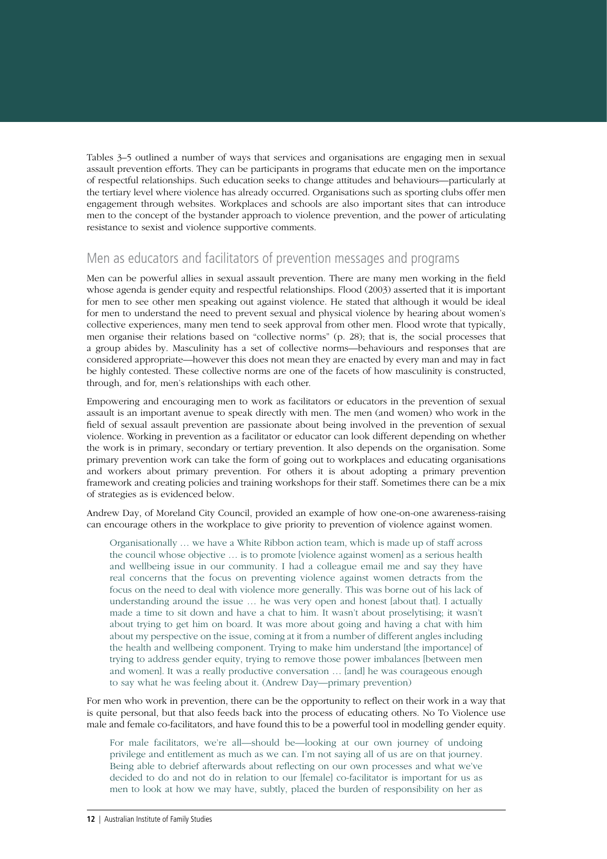Tables 3–5 outlined a number of ways that services and organisations are engaging men in sexual assault prevention efforts. They can be participants in programs that educate men on the importance of respectful relationships. Such education seeks to change attitudes and behaviours—particularly at the tertiary level where violence has already occurred. Organisations such as sporting clubs offer men engagement through websites. Workplaces and schools are also important sites that can introduce men to the concept of the bystander approach to violence prevention, and the power of articulating resistance to sexist and violence supportive comments.

### Men as educators and facilitators of prevention messages and programs

Men can be powerful allies in sexual assault prevention. There are many men working in the field whose agenda is gender equity and respectful relationships. Flood (2003) asserted that it is important for men to see other men speaking out against violence. He stated that although it would be ideal for men to understand the need to prevent sexual and physical violence by hearing about women's collective experiences, many men tend to seek approval from other men. Flood wrote that typically, men organise their relations based on "collective norms" (p. 28); that is, the social processes that a group abides by. Masculinity has a set of collective norms—behaviours and responses that are considered appropriate—however this does not mean they are enacted by every man and may in fact be highly contested. These collective norms are one of the facets of how masculinity is constructed, through, and for, men's relationships with each other.

Empowering and encouraging men to work as facilitators or educators in the prevention of sexual assault is an important avenue to speak directly with men. The men (and women) who work in the field of sexual assault prevention are passionate about being involved in the prevention of sexual violence. Working in prevention as a facilitator or educator can look different depending on whether the work is in primary, secondary or tertiary prevention. It also depends on the organisation. Some primary prevention work can take the form of going out to workplaces and educating organisations and workers about primary prevention. For others it is about adopting a primary prevention framework and creating policies and training workshops for their staff. Sometimes there can be a mix of strategies as is evidenced below.

Andrew Day, of Moreland City Council, provided an example of how one-on-one awareness-raising can encourage others in the workplace to give priority to prevention of violence against women.

Organisationally … we have a White Ribbon action team, which is made up of staff across the council whose objective … is to promote [violence against women] as a serious health and wellbeing issue in our community. I had a colleague email me and say they have real concerns that the focus on preventing violence against women detracts from the focus on the need to deal with violence more generally. This was borne out of his lack of understanding around the issue … he was very open and honest [about that]. I actually made a time to sit down and have a chat to him. It wasn't about proselytising; it wasn't about trying to get him on board. It was more about going and having a chat with him about my perspective on the issue, coming at it from a number of different angles including the health and wellbeing component. Trying to make him understand [the importance] of trying to address gender equity, trying to remove those power imbalances [between men and women]. It was a really productive conversation … [and] he was courageous enough to say what he was feeling about it. (Andrew Day—primary prevention)

For men who work in prevention, there can be the opportunity to reflect on their work in a way that is quite personal, but that also feeds back into the process of educating others. No To Violence use male and female co-facilitators, and have found this to be a powerful tool in modelling gender equity.

For male facilitators, we're all—should be—looking at our own journey of undoing privilege and entitlement as much as we can. I'm not saying all of us are on that journey. Being able to debrief afterwards about reflecting on our own processes and what we've decided to do and not do in relation to our [female] co-facilitator is important for us as men to look at how we may have, subtly, placed the burden of responsibility on her as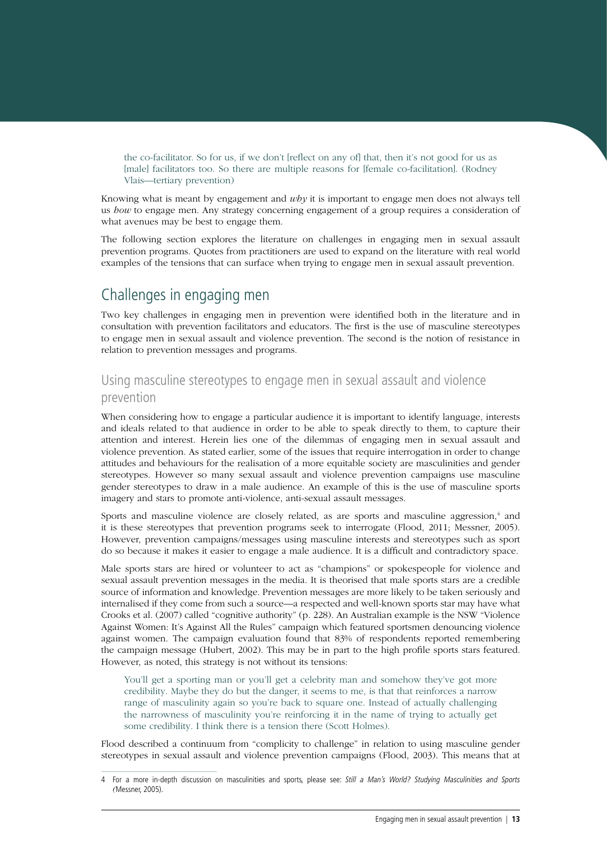<span id="page-12-0"></span>the co-facilitator. So for us, if we don't [reflect on any of] that, then it's not good for us as [male] facilitators too. So there are multiple reasons for [female co-facilitation]. (Rodney Vlais—tertiary prevention)

Knowing what is meant by engagement and *why* it is important to engage men does not always tell us *how* to engage men. Any strategy concerning engagement of a group requires a consideration of what avenues may be best to engage them.

The following section explores the literature on challenges in engaging men in sexual assault prevention programs. Quotes from practitioners are used to expand on the literature with real world examples of the tensions that can surface when trying to engage men in sexual assault prevention.

## Challenges in engaging men

Two key challenges in engaging men in prevention were identified both in the literature and in consultation with prevention facilitators and educators. The first is the use of masculine stereotypes to engage men in sexual assault and violence prevention. The second is the notion of resistance in relation to prevention messages and programs.

## Using masculine stereotypes to engage men in sexual assault and violence

### prevention

When considering how to engage a particular audience it is important to identify language, interests and ideals related to that audience in order to be able to speak directly to them, to capture their attention and interest. Herein lies one of the dilemmas of engaging men in sexual assault and violence prevention. As stated earlier, some of the issues that require interrogation in order to change attitudes and behaviours for the realisation of a more equitable society are masculinities and gender stereotypes. However so many sexual assault and violence prevention campaigns use masculine gender stereotypes to draw in a male audience. An example of this is the use of masculine sports imagery and stars to promote anti-violence, anti-sexual assault messages.

Sports and masculine violence are closely related, as are sports and masculine aggression,<sup>4</sup> and it is these stereotypes that prevention programs seek to interrogate (Flood, 2011; Messner, 2005). However, prevention campaigns/messages using masculine interests and stereotypes such as sport do so because it makes it easier to engage a male audience. It is a difficult and contradictory space.

Male sports stars are hired or volunteer to act as "champions" or spokespeople for violence and sexual assault prevention messages in the media. It is theorised that male sports stars are a credible source of information and knowledge. Prevention messages are more likely to be taken seriously and internalised if they come from such a source—a respected and well-known sports star may have what Crooks et al. (2007) called "cognitive authority" (p. 228). An Australian example is the NSW "Violence Against Women: It's Against All the Rules" campaign which featured sportsmen denouncing violence against women. The campaign evaluation found that 83% of respondents reported remembering the campaign message (Hubert, 2002). This may be in part to the high profile sports stars featured. However, as noted, this strategy is not without its tensions:

You'll get a sporting man or you'll get a celebrity man and somehow they've got more credibility. Maybe they do but the danger, it seems to me, is that that reinforces a narrow range of masculinity again so you're back to square one. Instead of actually challenging the narrowness of masculinity you're reinforcing it in the name of trying to actually get some credibility. I think there is a tension there (Scott Holmes).

Flood described a continuum from "complicity to challenge" in relation to using masculine gender stereotypes in sexual assault and violence prevention campaigns (Flood, 2003). This means that at

<sup>4</sup> For a more in-depth discussion on masculinities and sports, please see: Still a Man's World? Studying Masculinities and Sports *(*Messner, 2005).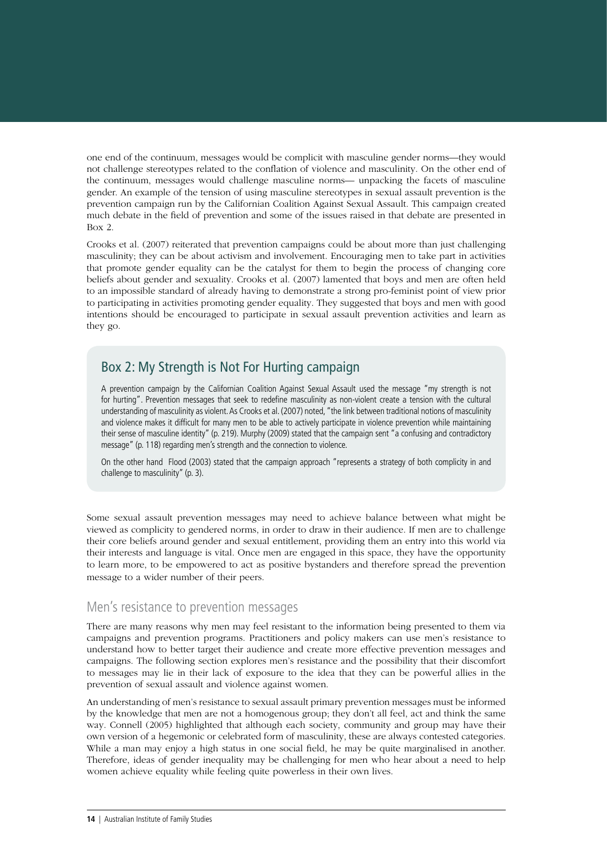one end of the continuum, messages would be complicit with masculine gender norms—they would not challenge stereotypes related to the conflation of violence and masculinity. On the other end of the continuum, messages would challenge masculine norms— unpacking the facets of masculine gender. An example of the tension of using masculine stereotypes in sexual assault prevention is the prevention campaign run by the Californian Coalition Against Sexual Assault. This campaign created much debate in the field of prevention and some of the issues raised in that debate are presented in Box 2.

Crooks et al. (2007) reiterated that prevention campaigns could be about more than just challenging masculinity; they can be about activism and involvement. Encouraging men to take part in activities that promote gender equality can be the catalyst for them to begin the process of changing core beliefs about gender and sexuality. Crooks et al. (2007) lamented that boys and men are often held to an impossible standard of already having to demonstrate a strong pro-feminist point of view prior to participating in activities promoting gender equality. They suggested that boys and men with good intentions should be encouraged to participate in sexual assault prevention activities and learn as they go.

## Box 2: My Strength is Not For Hurting campaign

A prevention campaign by the Californian Coalition Against Sexual Assault used the message "my strength is not for hurting". Prevention messages that seek to redefine masculinity as non-violent create a tension with the cultural understanding of masculinity as violent. As Crooks et al. (2007) noted, "the link between traditional notions of masculinity and violence makes it difficult for many men to be able to actively participate in violence prevention while maintaining their sense of masculine identity" (p. 219). Murphy (2009) stated that the campaign sent "a confusing and contradictory message" (p. 118) regarding men's strength and the connection to violence.

On the other hand Flood (2003) stated that the campaign approach "represents a strategy of both complicity in and challenge to masculinity" (p. 3).

Some sexual assault prevention messages may need to achieve balance between what might be viewed as complicity to gendered norms, in order to draw in their audience. If men are to challenge their core beliefs around gender and sexual entitlement, providing them an entry into this world via their interests and language is vital. Once men are engaged in this space, they have the opportunity to learn more, to be empowered to act as positive bystanders and therefore spread the prevention message to a wider number of their peers.

### Men's resistance to prevention messages

There are many reasons why men may feel resistant to the information being presented to them via campaigns and prevention programs. Practitioners and policy makers can use men's resistance to understand how to better target their audience and create more effective prevention messages and campaigns. The following section explores men's resistance and the possibility that their discomfort to messages may lie in their lack of exposure to the idea that they can be powerful allies in the prevention of sexual assault and violence against women.

An understanding of men's resistance to sexual assault primary prevention messages must be informed by the knowledge that men are not a homogenous group; they don't all feel, act and think the same way. Connell (2005) highlighted that although each society, community and group may have their own version of a hegemonic or celebrated form of masculinity, these are always contested categories. While a man may enjoy a high status in one social field, he may be quite marginalised in another. Therefore, ideas of gender inequality may be challenging for men who hear about a need to help women achieve equality while feeling quite powerless in their own lives.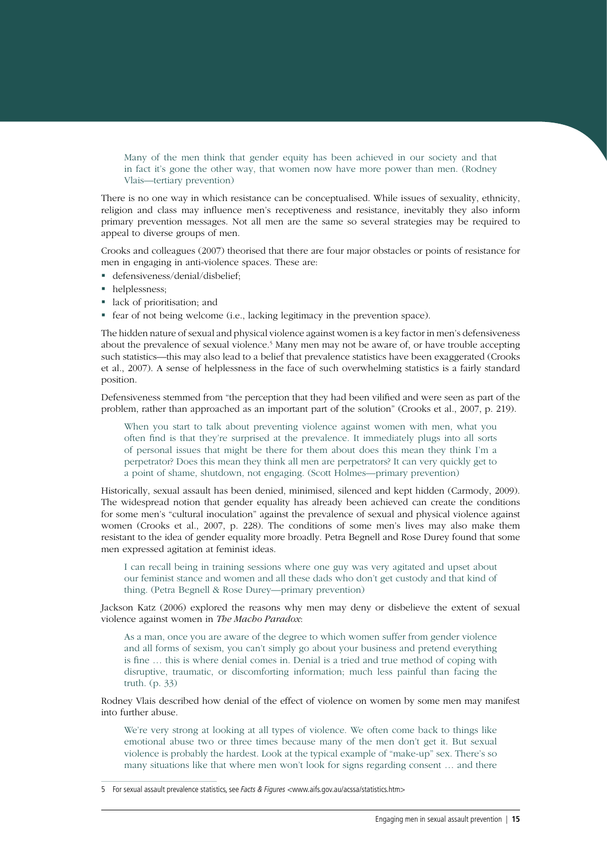Many of the men think that gender equity has been achieved in our society and that in fact it's gone the other way, that women now have more power than men. (Rodney Vlais—tertiary prevention)

There is no one way in which resistance can be conceptualised. While issues of sexuality, ethnicity, religion and class may influence men's receptiveness and resistance, inevitably they also inform primary prevention messages. Not all men are the same so several strategies may be required to appeal to diverse groups of men.

Crooks and colleagues (2007) theorised that there are four major obstacles or points of resistance for men in engaging in anti-violence spaces. These are:

- defensiveness/denial/disbelief;
- helplessness;
- lack of prioritisation; and
- fear of not being welcome (i.e., lacking legitimacy in the prevention space).

The hidden nature of sexual and physical violence against women is a key factor in men's defensiveness about the prevalence of sexual violence.<sup>5</sup> Many men may not be aware of, or have trouble accepting such statistics—this may also lead to a belief that prevalence statistics have been exaggerated (Crooks et al., 2007). A sense of helplessness in the face of such overwhelming statistics is a fairly standard position.

Defensiveness stemmed from "the perception that they had been vilified and were seen as part of the problem, rather than approached as an important part of the solution" (Crooks et al., 2007, p. 219).

When you start to talk about preventing violence against women with men, what you often find is that they're surprised at the prevalence. It immediately plugs into all sorts of personal issues that might be there for them about does this mean they think I'm a perpetrator? Does this mean they think all men are perpetrators? It can very quickly get to a point of shame, shutdown, not engaging. (Scott Holmes—primary prevention)

Historically, sexual assault has been denied, minimised, silenced and kept hidden (Carmody, 2009). The widespread notion that gender equality has already been achieved can create the conditions for some men's "cultural inoculation" against the prevalence of sexual and physical violence against women (Crooks et al., 2007, p. 228). The conditions of some men's lives may also make them resistant to the idea of gender equality more broadly. Petra Begnell and Rose Durey found that some men expressed agitation at feminist ideas.

I can recall being in training sessions where one guy was very agitated and upset about our feminist stance and women and all these dads who don't get custody and that kind of thing. (Petra Begnell & Rose Durey—primary prevention)

Jackson Katz (2006) explored the reasons why men may deny or disbelieve the extent of sexual violence against women in *The Macho Paradox*:

As a man, once you are aware of the degree to which women suffer from gender violence and all forms of sexism, you can't simply go about your business and pretend everything is fine … this is where denial comes in. Denial is a tried and true method of coping with disruptive, traumatic, or discomforting information; much less painful than facing the truth. (p. 33)

Rodney Vlais described how denial of the effect of violence on women by some men may manifest into further abuse.

We're very strong at looking at all types of violence. We often come back to things like emotional abuse two or three times because many of the men don't get it. But sexual violence is probably the hardest. Look at the typical example of "make-up" sex. There's so many situations like that where men won't look for signs regarding consent … and there

<sup>5</sup> For sexual assault prevalence statistics, see Facts & Figures <www.aifs.gov.au/acssa/statistics.htm>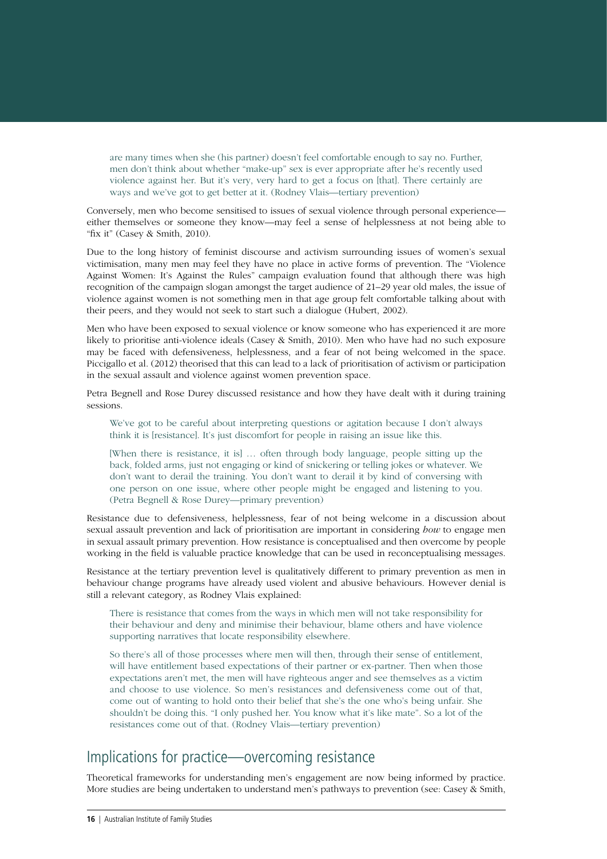<span id="page-15-0"></span>are many times when she (his partner) doesn't feel comfortable enough to say no. Further, men don't think about whether "make-up" sex is ever appropriate after he's recently used violence against her. But it's very, very hard to get a focus on [that]. There certainly are ways and we've got to get better at it. (Rodney Vlais—tertiary prevention)

Conversely, men who become sensitised to issues of sexual violence through personal experience either themselves or someone they know—may feel a sense of helplessness at not being able to "fix it" (Casey & Smith, 2010).

Due to the long history of feminist discourse and activism surrounding issues of women's sexual victimisation, many men may feel they have no place in active forms of prevention. The "Violence Against Women: It's Against the Rules" campaign evaluation found that although there was high recognition of the campaign slogan amongst the target audience of 21–29 year old males, the issue of violence against women is not something men in that age group felt comfortable talking about with their peers, and they would not seek to start such a dialogue (Hubert, 2002).

Men who have been exposed to sexual violence or know someone who has experienced it are more likely to prioritise anti-violence ideals (Casey & Smith, 2010). Men who have had no such exposure may be faced with defensiveness, helplessness, and a fear of not being welcomed in the space. Piccigallo et al. (2012) theorised that this can lead to a lack of prioritisation of activism or participation in the sexual assault and violence against women prevention space.

Petra Begnell and Rose Durey discussed resistance and how they have dealt with it during training sessions.

We've got to be careful about interpreting questions or agitation because I don't always think it is [resistance]. It's just discomfort for people in raising an issue like this.

[When there is resistance, it is] … often through body language, people sitting up the back, folded arms, just not engaging or kind of snickering or telling jokes or whatever. We don't want to derail the training. You don't want to derail it by kind of conversing with one person on one issue, where other people might be engaged and listening to you. (Petra Begnell & Rose Durey—primary prevention)

Resistance due to defensiveness, helplessness, fear of not being welcome in a discussion about sexual assault prevention and lack of prioritisation are important in considering *how* to engage men in sexual assault primary prevention. How resistance is conceptualised and then overcome by people working in the field is valuable practice knowledge that can be used in reconceptualising messages.

Resistance at the tertiary prevention level is qualitatively different to primary prevention as men in behaviour change programs have already used violent and abusive behaviours. However denial is still a relevant category, as Rodney Vlais explained:

There is resistance that comes from the ways in which men will not take responsibility for their behaviour and deny and minimise their behaviour, blame others and have violence supporting narratives that locate responsibility elsewhere.

So there's all of those processes where men will then, through their sense of entitlement, will have entitlement based expectations of their partner or ex-partner. Then when those expectations aren't met, the men will have righteous anger and see themselves as a victim and choose to use violence. So men's resistances and defensiveness come out of that, come out of wanting to hold onto their belief that she's the one who's being unfair. She shouldn't be doing this. "I only pushed her. You know what it's like mate". So a lot of the resistances come out of that. (Rodney Vlais—tertiary prevention)

## Implications for practice—overcoming resistance

Theoretical frameworks for understanding men's engagement are now being informed by practice. More studies are being undertaken to understand men's pathways to prevention (see: Casey & Smith,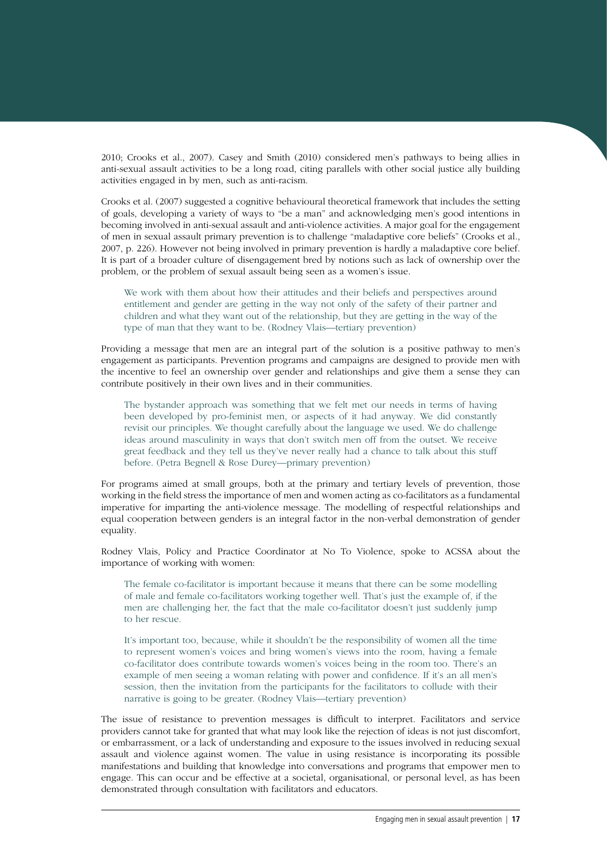2010; Crooks et al., 2007). Casey and Smith (2010) considered men's pathways to being allies in anti-sexual assault activities to be a long road, citing parallels with other social justice ally building activities engaged in by men, such as anti-racism.

Crooks et al. (2007) suggested a cognitive behavioural theoretical framework that includes the setting of goals, developing a variety of ways to "be a man" and acknowledging men's good intentions in becoming involved in anti-sexual assault and anti-violence activities. A major goal for the engagement of men in sexual assault primary prevention is to challenge "maladaptive core beliefs" (Crooks et al., 2007, p. 226). However not being involved in primary prevention is hardly a maladaptive core belief. It is part of a broader culture of disengagement bred by notions such as lack of ownership over the problem, or the problem of sexual assault being seen as a women's issue.

We work with them about how their attitudes and their beliefs and perspectives around entitlement and gender are getting in the way not only of the safety of their partner and children and what they want out of the relationship, but they are getting in the way of the type of man that they want to be. (Rodney Vlais—tertiary prevention)

Providing a message that men are an integral part of the solution is a positive pathway to men's engagement as participants. Prevention programs and campaigns are designed to provide men with the incentive to feel an ownership over gender and relationships and give them a sense they can contribute positively in their own lives and in their communities.

The bystander approach was something that we felt met our needs in terms of having been developed by pro-feminist men, or aspects of it had anyway. We did constantly revisit our principles. We thought carefully about the language we used. We do challenge ideas around masculinity in ways that don't switch men off from the outset. We receive great feedback and they tell us they've never really had a chance to talk about this stuff before. (Petra Begnell & Rose Durey—primary prevention)

For programs aimed at small groups, both at the primary and tertiary levels of prevention, those working in the field stress the importance of men and women acting as co-facilitators as a fundamental imperative for imparting the anti-violence message. The modelling of respectful relationships and equal cooperation between genders is an integral factor in the non-verbal demonstration of gender equality.

Rodney Vlais, Policy and Practice Coordinator at No To Violence, spoke to ACSSA about the importance of working with women:

The female co-facilitator is important because it means that there can be some modelling of male and female co-facilitators working together well. That's just the example of, if the men are challenging her, the fact that the male co-facilitator doesn't just suddenly jump to her rescue.

It's important too, because, while it shouldn't be the responsibility of women all the time to represent women's voices and bring women's views into the room, having a female co-facilitator does contribute towards women's voices being in the room too. There's an example of men seeing a woman relating with power and confidence. If it's an all men's session, then the invitation from the participants for the facilitators to collude with their narrative is going to be greater. (Rodney Vlais—tertiary prevention)

The issue of resistance to prevention messages is difficult to interpret. Facilitators and service providers cannot take for granted that what may look like the rejection of ideas is not just discomfort, or embarrassment, or a lack of understanding and exposure to the issues involved in reducing sexual assault and violence against women. The value in using resistance is incorporating its possible manifestations and building that knowledge into conversations and programs that empower men to engage. This can occur and be effective at a societal, organisational, or personal level, as has been demonstrated through consultation with facilitators and educators.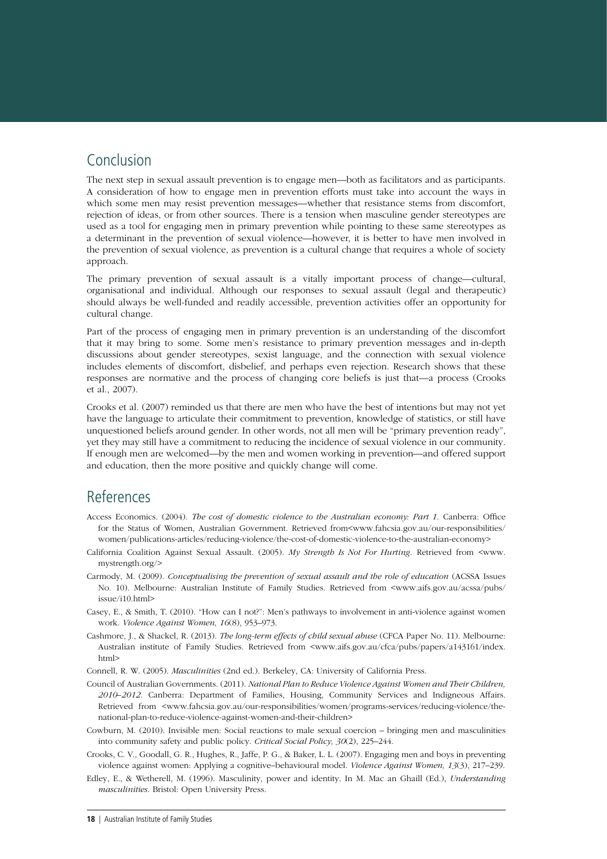## <span id="page-17-0"></span>Conclusion

The next step in sexual assault prevention is to engage men—both as facilitators and as participants. A consideration of how to engage men in prevention efforts must take into account the ways in which some men may resist prevention messages—whether that resistance stems from discomfort, rejection of ideas, or from other sources. There is a tension when masculine gender stereotypes are used as a tool for engaging men in primary prevention while pointing to these same stereotypes as a determinant in the prevention of sexual violence—however, it is better to have men involved in the prevention of sexual violence, as prevention is a cultural change that requires a whole of society approach.

The primary prevention of sexual assault is a vitally important process of change—cultural, organisational and individual. Although our responses to sexual assault (legal and therapeutic) should always be well-funded and readily accessible, prevention activities offer an opportunity for cultural change.

Part of the process of engaging men in primary prevention is an understanding of the discomfort that it may bring to some. Some men's resistance to primary prevention messages and in-depth discussions about gender stereotypes, sexist language, and the connection with sexual violence includes elements of discomfort, disbelief, and perhaps even rejection. Research shows that these responses are normative and the process of changing core beliefs is just that—a process (Crooks et al., 2007).

Crooks et al. (2007) reminded us that there are men who have the best of intentions but may not yet have the language to articulate their commitment to prevention, knowledge of statistics, or still have unquestioned beliefs around gender. In other words, not all men will be "primary prevention ready", yet they may still have a commitment to reducing the incidence of sexual violence in our community. If enough men are welcomed—by the men and women working in prevention—and offered support and education, then the more positive and quickly change will come.

## References

- Access Economics. (2004). *The cost of domestic violence to the Australian economy: Part 1*. Canberra: Office for the Status of Women, Australian Government. Retrieved from<www.fahcsia.gov.au/our-responsibilities/ women/publications-articles/reducing-violence/the-cost-of-domestic-violence-to-the-australian-economy>
- California Coalition Against Sexual Assault. (2005). *My Strength Is Not For Hurting*. Retrieved from <www. mystrength.org/>
- Carmody, M. (2009). *Conceptualising the prevention of sexual assault and the role of education* (ACSSA Issues No. 10). Melbourne: Australian Institute of Family Studies. Retrieved from <www.aifs.gov.au/acssa/pubs/ issue/i10.html>
- Casey, E., & Smith, T. (2010). "How can I not?": Men's pathways to involvement in anti-violence against women work. *Violence Against Women, 16*(8), 953–973.
- Cashmore, J., & Shackel, R. (2013). *The long-term effects of child sexual abuse* (CFCA Paper No. 11). Melbourne: Australian institute of Family Studies. Retrieved from <www.aifs.gov.au/cfca/pubs/papers/a143161/index. html>
- Connell, R. W. (2005). *Masculinities* (2nd ed.). Berkeley, CA: University of California Press.
- Council of Australian Governments. (2011). *National Plan to Reduce Violence Against Women and Their Children, 2010–2012*. Canberra: Department of Families, Housing, Community Services and Indigneous Affairs. Retrieved from <www.fahcsia.gov.au/our-responsibilities/women/programs-services/reducing-violence/thenational-plan-to-reduce-violence-against-women-and-their-children>
- Cowburn, M. (2010). Invisible men: Social reactions to male sexual coercion bringing men and masculinities into community safety and public policy. *Critical Social Policy, 30*(2), 225–244.
- Crooks, C. V., Goodall, G. R., Hughes, R., Jaffe, P. G., & Baker, L. L. (2007). Engaging men and boys in preventing violence against women: Applying a cognitive–behavioural model. *Violence Against Women, 13*(3), 217–239.
- Edley, E., & Wetherell, M. (1996). Masculinity, power and identity. In M. Mac an Ghaill (Ed.), *Understanding masculinities*. Bristol: Open University Press.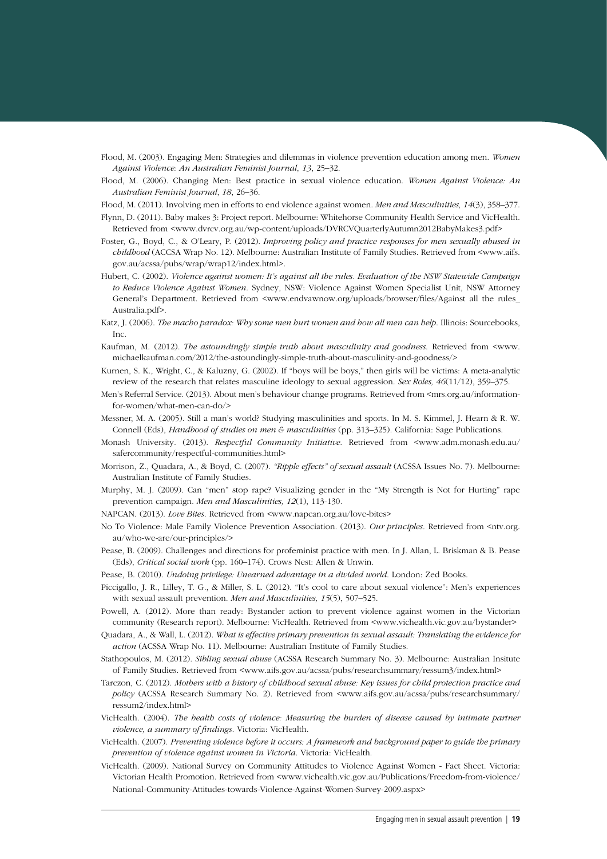- Flood, M. (2003). Engaging Men: Strategies and dilemmas in violence prevention education among men. *Women Against Violence: An Australian Feminist Journal*, *13*, 25–32.
- Flood, M. (2006). Changing Men: Best practice in sexual violence education. *Women Against Violence: An Australian Feminist Journal*, *18*, 26–36.

Flood, M. (2011). Involving men in efforts to end violence against women. *Men and Masculinities, 14*(3), 358–377.

- Flynn, D. (2011). Baby makes 3: Project report. Melbourne: Whitehorse Community Health Service and VicHealth. Retrieved from <www.dvrcv.org.au/wp-content/uploads/DVRCVQuarterlyAutumn2012BabyMakes3.pdf>
- Foster, G., Boyd, C., & O'Leary, P. (2012). *Improving policy and practice responses for men sexually abused in childhood* (ACCSA Wrap No. 12). Melbourne: Australian Institute of Family Studies. Retrieved from <www.aifs. gov.au/acssa/pubs/wrap/wrap12/index.html>.
- Hubert, C. (2002). *Violence against women: It's against all the rules. Evaluation of the NSW Statewide Campaign to Reduce Violence Against Women*. Sydney, NSW: Violence Against Women Specialist Unit, NSW Attorney General's Department. Retrieved from <www.endvawnow.org/uploads/browser/files/Against all the rules\_ Australia.pdf>.
- Katz, J. (2006). *The macho paradox: Why some men hurt women and how all men can help*. Illinois: Sourcebooks, Inc.
- Kaufman, M. (2012). *The astoundingly simple truth about masculinity and goodness*. Retrieved from <www. michaelkaufman.com/2012/the-astoundingly-simple-truth-about-masculinity-and-goodness/>
- Kurnen, S. K., Wright, C., & Kaluzny, G. (2002). If "boys will be boys," then girls will be victims: A meta-analytic review of the research that relates masculine ideology to sexual aggression. *Sex Roles, 46*(11/12), 359–375.
- Men's Referral Service. (2013). About men's behaviour change programs. Retrieved from <mrs.org.au/informationfor-women/what-men-can-do/>
- Messner, M. A. (2005). Still a man's world? Studying masculinities and sports. In M. S. Kimmel, J. Hearn & R. W. Connell (Eds), *Handbood of studies on men & masculinities* (pp. 313–325). California: Sage Publications.
- Monash University. (2013). *Respectful Community Initiative*. Retrieved from <www.adm.monash.edu.au/ safercommunity/respectful-communities.html>
- Morrison, Z., Quadara, A., & Boyd, C. (2007). *"Ripple effects" of sexual assault* (ACSSA Issues No. 7). Melbourne: Australian Institute of Family Studies.
- Murphy, M. J. (2009). Can "men" stop rape? Visualizing gender in the "My Strength is Not for Hurting" rape prevention campaign. *Men and Masculinities, 12*(1), 113-130.
- NAPCAN. (2013). *Love Bites*. Retrieved from <www.napcan.org.au/love-bites>
- No To Violence: Male Family Violence Prevention Association. (2013). *Our principles.* Retrieved from <ntv.org. au/who-we-are/our-principles/>
- Pease, B. (2009). Challenges and directions for profeminist practice with men. In J. Allan, L. Briskman & B. Pease (Eds), *Critical social work* (pp. 160–174). Crows Nest: Allen & Unwin.
- Pease, B. (2010). *Undoing privilege: Unearned advantage in a divided world*. London: Zed Books.
- Piccigallo, J. R., Lilley, T. G., & Miller, S. L. (2012). "It's cool to care about sexual violence": Men's experiences with sexual assault prevention. *Men and Masculinities, 15*(5), 507–525.
- Powell, A. (2012). More than ready: Bystander action to prevent violence against women in the Victorian community (Research report). Melbourne: VicHealth. Retrieved from <www.vichealth.vic.gov.au/bystander>
- Quadara, A., & Wall, L. (2012). *What is effective primary prevention in sexual assault: Translating the evidence for action* (ACSSA Wrap No. 11). Melbourne: Australian Institute of Family Studies.
- Stathopoulos, M. (2012). *Sibling sexual abuse* (ACSSA Research Summary No. 3). Melbourne: Australian Insitute of Family Studies. Retrieved from <www.aifs.gov.au/acssa/pubs/researchsummary/ressum3/index.html>
- Tarczon, C. (2012). *Mothers with a history of childhood sexual abuse: Key issues for child protection practice and*  policy (ACSSA Research Summary No. 2). Retrieved from <www.aifs.gov.au/acssa/pubs/researchsummary/ ressum2/index.html>
- VicHealth. (2004). *The health costs of violence: Measuring the burden of disease caused by intimate partner violence, a summary of findings*. Victoria: VicHealth.
- VicHealth. (2007). *Preventing violence before it occurs: A framework and background paper to guide the primary prevention of violence against women in Victoria*. Victoria: VicHealth.
- VicHealth. (2009). National Survey on Community Attitudes to Violence Against Women Fact Sheet. Victoria: Victorian Health Promotion. Retrieved from <www.vichealth.vic.gov.au/Publications/Freedom-from-violence/ National-Community-Attitudes-towards-Violence-Against-Women-Survey-2009.aspx>